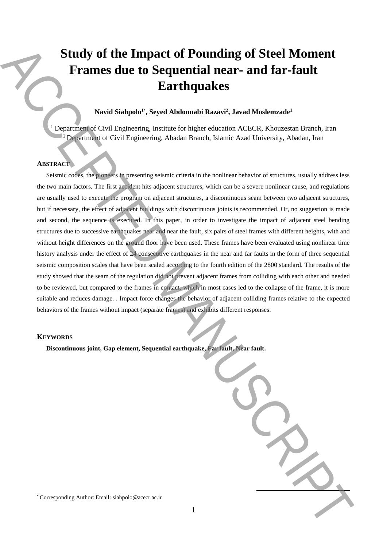# **Study of the Impact of Pounding of Steel Moment Frames due to Sequential near- and far-fault Earthquakes**

# **Navid Siahpolo<sup>1</sup>**\* **, Seyed Abdonnabi Razavi<sup>2</sup> , Javad Moslemzade<sup>1</sup>**

<sup>1</sup> Department of Civil Engineering, Institute for higher education ACECR, Khouzestan Branch, Iran <sup>2</sup> Department of Civil Engineering, Abadan Branch, Islamic Azad University, Abadan, Iran

## **ABSTRACT**

Seismic codes, the pioneers in presenting seismic criteria in the nonlinear behavior of structures, usually address less the two main factors. The first accident hits adjacent structures, which can be a severe nonlinear cause, and regulations are usually used to execute the program on adjacent structures, a discontinuous seam between two adjacent structures, but if necessary, the effect of adjacent buildings with discontinuous joints is recommended. Or, no suggestion is made and second, the sequence is executed. In this paper, in order to investigate the impact of adjacent steel bending structures due to successive earthquakes near and near the fault, six pairs of steel frames with different heights, with and without height differences on the ground floor have been used. These frames have been evaluated using nonlinear time history analysis under the effect of 24 consecutive earthquakes in the near and far faults in the form of three sequential seismic composition scales that have been scaled according to the fourth edition of the 2800 standard. The results of the study showed that the seam of the regulation did not prevent adjacent frames from colliding with each other and needed to be reviewed, but compared to the frames in contact, which in most cases led to the collapse of the frame, it is more suitable and reduces damage. . Impact force changes the behavior of adjacent colliding frames relative to the expected behaviors of the frames without impact (separate frames) and exhibits different responses. Study of the Impact of Pounding of Steel Moment<br>
Frames due to Sequential near-and far-fault<br>
Earthquakes<br>
Newtonbook School School School School School School School School School School School School School School Schoo

#### **KEYWORDS**

**Discontinuous joint, Gap element, Sequential earthquake, Far fault, Near fault.**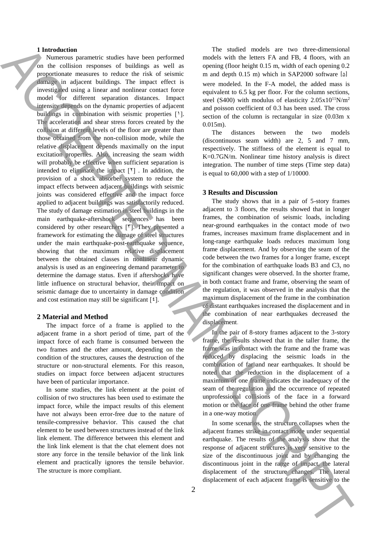#### **1 Introduction**

Numerous parametric studies have been performed on the collision responses of buildings as well as proportionate measures to reduce the risk of seismic damage in adjacent buildings. The impact effect is investigated using a linear and nonlinear contact force model for different separation distances. Impact intensity depends on the dynamic properties of adjacent buildings in combination with seismic properties  $[1]$ . The acceleration and shear stress forces created by the collision at different levels of the floor are greater than those obtained from the non-collision mode, while the relative displacement depends maximally on the input excitation properties. Also, increasing the seam width will probably be effective when sufficient separation is intended to eliminate the impact  $[2]$ . In addition, the provision of a shock absorber system to reduce the impact effects between adjacent buildings with seismic joints was considered effective and the impact force applied to adjacent buildings was satisfactorily reduced. The study of damage estimation in steel buildings in the main earthquake-aftershock sequences has been considered by other researchers  $[5]$ . They presented a framework for estimating the damage of steel structures under the main earthquake-post-earthquake sequence, showing that the maximum relative displacement between the obtained classes in nonlinear dynamic analysis is used as an engineering demand parameter to determine the damage status. Even if aftershocks have little influence on structural behavior, their impact on seismic damage due to uncertainty in damage condition and cost estimation may still be significant  $\lceil \frac{2}{\cdot} \rceil$ . The method is a sensitive to the sensitive to the sensitive to the sensitive to the effect of each adjacent frame is a sensitive to the sensitive to the sensitive to the sensitive to the accept of each adjacent frame is a

### **2 Material and Method**

The impact force of a frame is applied to the adjacent frame in a short period of time, part of the impact force of each frame is consumed between the two frames and the other amount, depending on the condition of the structures, causes the destruction of the structure or non-structural elements. For this reason, studies on impact force between adjacent structures have been of particular importance.

In some studies, the link element at the point of collision of two structures has been used to estimate the impact force, while the impact results of this element have not always been error-free due to the nature of tensile-compressive behavior. This caused the chat element to be used between structures instead of the link link element. The difference between this element and the link link element is that the chat element does not store any force in the tensile behavior of the link link element and practically ignores the tensile behavior. The structure is more compliant.

The studied models are two three-dimensional models with the letters FA and FB, 4 floors, with an opening (floor height 0.15 m, width of each opening 0.2 m and depth 0.15 m) which in SAP2000 software  $[\delta]$ were modeled. In the F-A model, the added mass is equivalent to 6.5 kg per floor. For the column sections, steel (S400) with modulus of elasticity  $2.05x10^{11}N/m^2$ and poisson coefficient of 0.3 has been used. The cross section of the column is rectangular in size (0.03m x 0.015m).

The distances between the two models (discontinuous seam width) are 2, 5 and 7 mm, respectively. The stiffness of the element is equal to K=0.7GN/m. Nonlinear time history analysis is direct integration. The number of time steps (Time step data) is equal to  $60,000$  with a step of  $1/10000$ .

#### **3 Results and Discussion**

The study shows that in a pair of 5-story frames adjacent to 3 floors, the results showed that in longer frames, the combination of seismic loads, including near-ground earthquakes in the contact mode of two frames, increases maximum frame displacement and in long-range earthquake loads reduces maximum long frame displacement. And by observing the seam of the code between the two frames for a longer frame, except for the combination of earthquake loads B3 and C3, no significant changes were observed. In the shorter frame, in both contact frame and frame, observing the seam of the regulation, it was observed in the analysis that the maximum displacement of the frame in the combination of distant earthquakes increased the displacement and in the combination of near earthquakes decreased the displacement.

In the pair of 8-story frames adjacent to the 3-story frame, the results showed that in the taller frame, the frame was in contact with the frame and the frame was reduced by displacing the seismic loads in the combination of far and near earthquakes. It should be noted that the reduction in the displacement of a maximum of one frame indicates the inadequacy of the seam of the regulation and the occurrence of repeated unprofessional collisions of the face in a forward motion or the face of one frame behind the other frame in a one-way motion.

In some scenarios, the structure collapses when the adjacent frames strike in contact mode under sequential earthquake. The results of the analysis show that the response of adjacent structures is very sensitive to the size of the discontinuous joint and by changing the discontinuous joint in the range of impact, the lateral displacement of the structure changes. The lateral